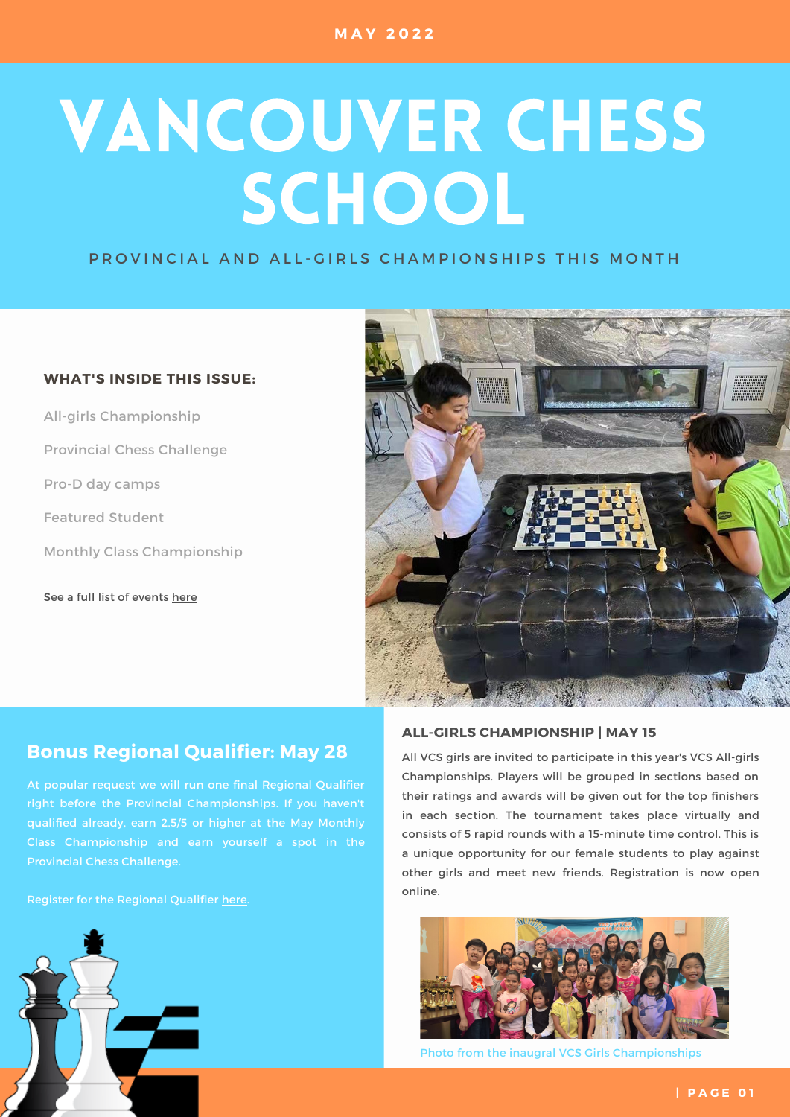# VANCOUVER CHESS SCHOOL

P ROVINCIAL AND ALL-GIRLS CHAMPIONSHIPS THIS MONTH

# **WHAT'S INSIDE THIS ISSUE:**

See a full list of events [here](https://www.vanchess.ca/events) All-girls Championship Provincial Chess Challenge Pro-D day camps Featured Student Monthly Class Championship



# **Bonus Regional Qualifier: May 28** All VCS girls are invited to participate in this year's VCS All-girls

At popular request we will run one final Regional Qualifier right before the Provincial Championships. If you haven't qualified already, earn 2.5/5 or higher at the May Monthly Class Championship and earn yourself a spot in the Provincial Chess Challenge.

Register for the Regional Qualifier [here](https://www.vanchess.ca/tournaments/view/id/6530).



# **ALL-GIRLS CHAMPIONSHIP | MAY 15**

Championships. Players will be grouped in sections based on their ratings and awards will be given out for the top finishers in each section. The tournament takes place virtually and consists of 5 rapid rounds with a 15-minute time control. This is a unique opportunity for our female students to play against other girls and meet new friends. Registration is now [open](https://www.vanchess.ca/events?events[0]=9) [online.](https://www.vanchess.ca/tournaments/view/id/6545)



Photo from the inaugral VCS Girls Championships